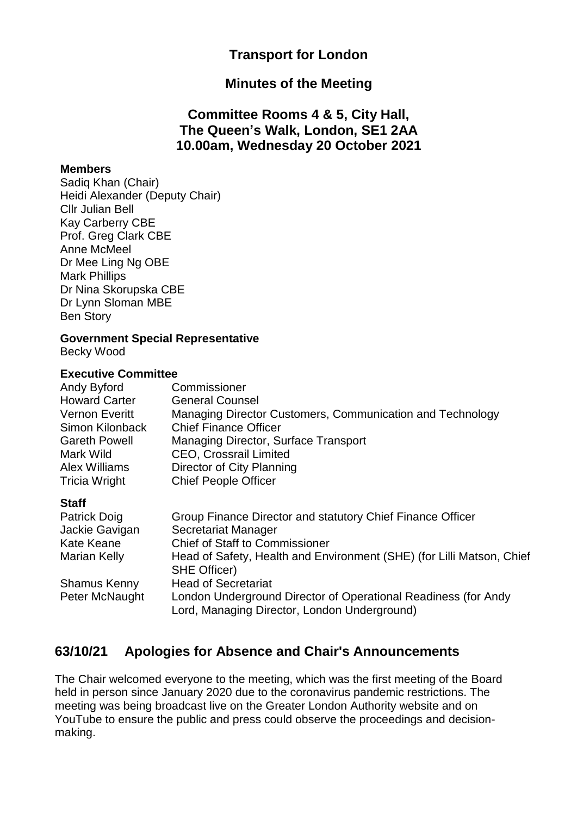### **Transport for London**

#### **Minutes of the Meeting**

### **Committee Rooms 4 & 5, City Hall, The Queen's Walk, London, SE1 2AA 10.00am, Wednesday 20 October 2021**

#### **Members**

Sadiq Khan (Chair) Heidi Alexander (Deputy Chair) Cllr Julian Bell Kay Carberry CBE Prof. Greg Clark CBE Anne McMeel Dr Mee Ling Ng OBE Mark Phillips Dr Nina Skorupska CBE Dr Lynn Sloman MBE Ben Story

#### **Government Special Representative**

Becky Wood

#### **Executive Committee**

| Andy Byford           | Commissioner                                              |
|-----------------------|-----------------------------------------------------------|
| <b>Howard Carter</b>  | <b>General Counsel</b>                                    |
| <b>Vernon Everitt</b> | Managing Director Customers, Communication and Technology |
| Simon Kilonback       | <b>Chief Finance Officer</b>                              |
| <b>Gareth Powell</b>  | <b>Managing Director, Surface Transport</b>               |
| Mark Wild             | <b>CEO, Crossrail Limited</b>                             |
| <b>Alex Williams</b>  | Director of City Planning                                 |
| <b>Tricia Wright</b>  | <b>Chief People Officer</b>                               |
| <b>Staff</b>          |                                                           |

# **Staff**<br>Datrick Deis

| <b>Patrick Doig</b> | Group Finance Director and statutory Chief Finance Officer                                                     |
|---------------------|----------------------------------------------------------------------------------------------------------------|
| Jackie Gavigan      | Secretariat Manager                                                                                            |
| <b>Kate Keane</b>   | <b>Chief of Staff to Commissioner</b>                                                                          |
| <b>Marian Kelly</b> | Head of Safety, Health and Environment (SHE) (for Lilli Matson, Chief<br><b>SHE Officer)</b>                   |
| <b>Shamus Kenny</b> | <b>Head of Secretariat</b>                                                                                     |
| Peter McNaught      | London Underground Director of Operational Readiness (for Andy<br>Lord, Managing Director, London Underground) |

### **63/10/21 Apologies for Absence and Chair's Announcements**

The Chair welcomed everyone to the meeting, which was the first meeting of the Board held in person since January 2020 due to the coronavirus pandemic restrictions. The meeting was being broadcast live on the Greater London Authority website and on YouTube to ensure the public and press could observe the proceedings and decisionmaking.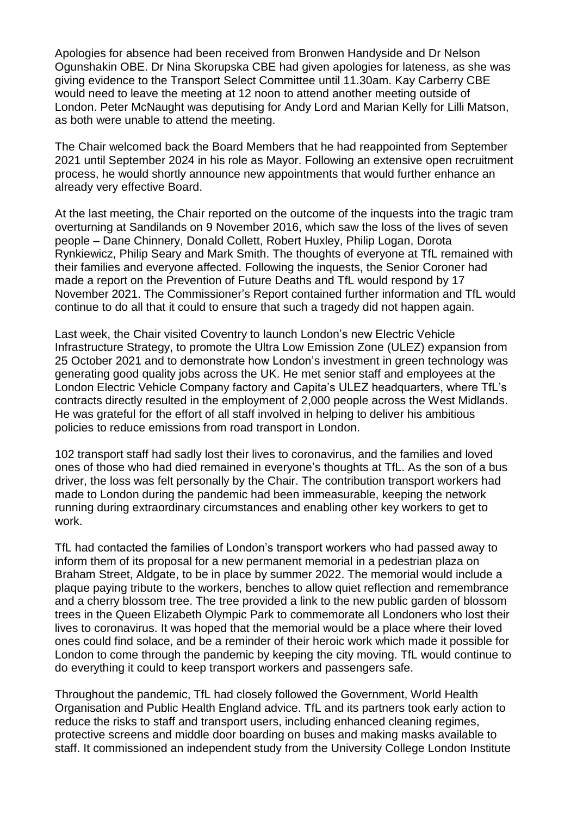Apologies for absence had been received from Bronwen Handyside and Dr Nelson Ogunshakin OBE. Dr Nina Skorupska CBE had given apologies for lateness, as she was giving evidence to the Transport Select Committee until 11.30am. Kay Carberry CBE would need to leave the meeting at 12 noon to attend another meeting outside of London. Peter McNaught was deputising for Andy Lord and Marian Kelly for Lilli Matson, as both were unable to attend the meeting.

The Chair welcomed back the Board Members that he had reappointed from September 2021 until September 2024 in his role as Mayor. Following an extensive open recruitment process, he would shortly announce new appointments that would further enhance an already very effective Board.

At the last meeting, the Chair reported on the outcome of the inquests into the tragic tram overturning at Sandilands on 9 November 2016, which saw the loss of the lives of seven people – Dane Chinnery, Donald Collett, Robert Huxley, Philip Logan, Dorota Rynkiewicz, Philip Seary and Mark Smith. The thoughts of everyone at TfL remained with their families and everyone affected. Following the inquests, the Senior Coroner had made a report on the Prevention of Future Deaths and TfL would respond by 17 November 2021. The Commissioner's Report contained further information and TfL would continue to do all that it could to ensure that such a tragedy did not happen again.

Last week, the Chair visited Coventry to launch London's new Electric Vehicle Infrastructure Strategy, to promote the Ultra Low Emission Zone (ULEZ) expansion from 25 October 2021 and to demonstrate how London's investment in green technology was generating good quality jobs across the UK. He met senior staff and employees at the London Electric Vehicle Company factory and Capita's ULEZ headquarters, where TfL's contracts directly resulted in the employment of 2,000 people across the West Midlands. He was grateful for the effort of all staff involved in helping to deliver his ambitious policies to reduce emissions from road transport in London.

102 transport staff had sadly lost their lives to coronavirus, and the families and loved ones of those who had died remained in everyone's thoughts at TfL. As the son of a bus driver, the loss was felt personally by the Chair. The contribution transport workers had made to London during the pandemic had been immeasurable, keeping the network running during extraordinary circumstances and enabling other key workers to get to work.

TfL had contacted the families of London's transport workers who had passed away to inform them of its proposal for a new permanent memorial in a pedestrian plaza on Braham Street, Aldgate, to be in place by summer 2022. The memorial would include a plaque paying tribute to the workers, benches to allow quiet reflection and remembrance and a cherry blossom tree. The tree provided a link to the new public garden of blossom trees in the Queen Elizabeth Olympic Park to commemorate all Londoners who lost their lives to coronavirus. It was hoped that the memorial would be a place where their loved ones could find solace, and be a reminder of their heroic work which made it possible for London to come through the pandemic by keeping the city moving. TfL would continue to do everything it could to keep transport workers and passengers safe.

Throughout the pandemic, TfL had closely followed the Government, World Health Organisation and Public Health England advice. TfL and its partners took early action to reduce the risks to staff and transport users, including enhanced cleaning regimes, protective screens and middle door boarding on buses and making masks available to staff. It commissioned an independent study from the University College London Institute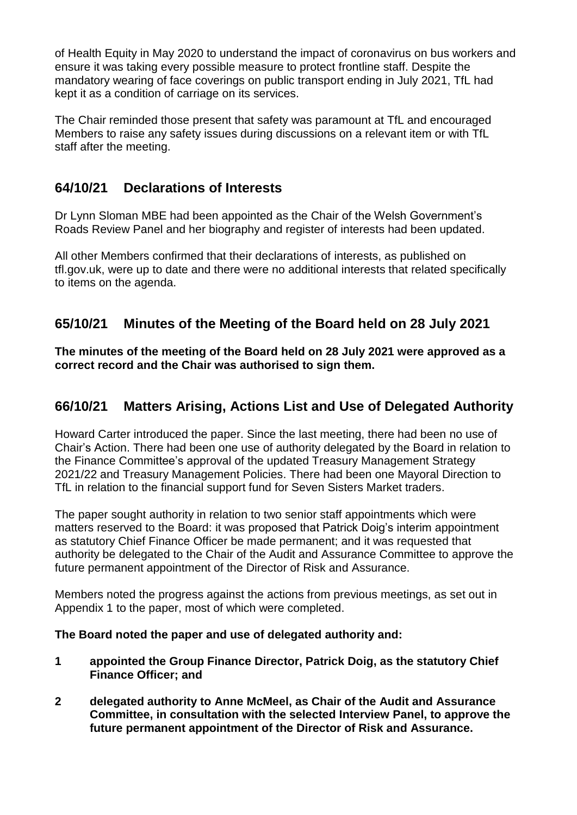of Health Equity in May 2020 to understand the impact of coronavirus on bus workers and ensure it was taking every possible measure to protect frontline staff. Despite the mandatory wearing of face coverings on public transport ending in July 2021, TfL had kept it as a condition of carriage on its services.

The Chair reminded those present that safety was paramount at TfL and encouraged Members to raise any safety issues during discussions on a relevant item or with TfL staff after the meeting.

# **64/10/21 Declarations of Interests**

Dr Lynn Sloman MBE had been appointed as the Chair of the Welsh Government's Roads Review Panel and her biography and register of interests had been updated.

All other Members confirmed that their declarations of interests, as published on tfl.gov.uk, were up to date and there were no additional interests that related specifically to items on the agenda.

# **65/10/21 Minutes of the Meeting of the Board held on 28 July 2021**

**The minutes of the meeting of the Board held on 28 July 2021 were approved as a correct record and the Chair was authorised to sign them.**

### **66/10/21 Matters Arising, Actions List and Use of Delegated Authority**

Howard Carter introduced the paper. Since the last meeting, there had been no use of Chair's Action. There had been one use of authority delegated by the Board in relation to the Finance Committee's approval of the updated Treasury Management Strategy 2021/22 and Treasury Management Policies. There had been one Mayoral Direction to TfL in relation to the financial support fund for Seven Sisters Market traders.

The paper sought authority in relation to two senior staff appointments which were matters reserved to the Board: it was proposed that Patrick Doig's interim appointment as statutory Chief Finance Officer be made permanent; and it was requested that authority be delegated to the Chair of the Audit and Assurance Committee to approve the future permanent appointment of the Director of Risk and Assurance.

Members noted the progress against the actions from previous meetings, as set out in Appendix 1 to the paper, most of which were completed.

#### **The Board noted the paper and use of delegated authority and:**

- **1 appointed the Group Finance Director, Patrick Doig, as the statutory Chief Finance Officer; and**
- **2 delegated authority to Anne McMeel, as Chair of the Audit and Assurance Committee, in consultation with the selected Interview Panel, to approve the future permanent appointment of the Director of Risk and Assurance.**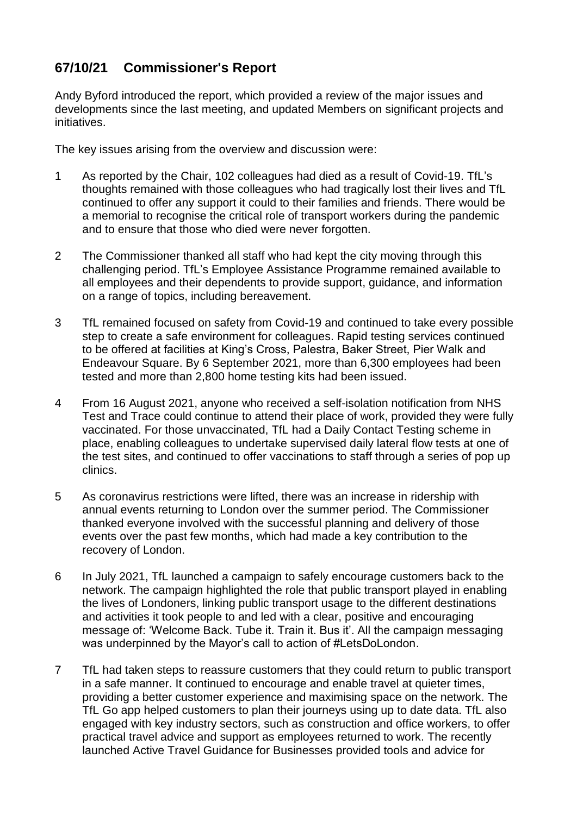# **67/10/21 Commissioner's Report**

Andy Byford introduced the report, which provided a review of the major issues and developments since the last meeting, and updated Members on significant projects and initiatives.

The key issues arising from the overview and discussion were:

- 1 As reported by the Chair, 102 colleagues had died as a result of Covid-19. TfL's thoughts remained with those colleagues who had tragically lost their lives and TfL continued to offer any support it could to their families and friends. There would be a memorial to recognise the critical role of transport workers during the pandemic and to ensure that those who died were never forgotten.
- 2 The Commissioner thanked all staff who had kept the city moving through this challenging period. TfL's Employee Assistance Programme remained available to all employees and their dependents to provide support, guidance, and information on a range of topics, including bereavement.
- 3 TfL remained focused on safety from Covid-19 and continued to take every possible step to create a safe environment for colleagues. Rapid testing services continued to be offered at facilities at King's Cross, Palestra, Baker Street, Pier Walk and Endeavour Square. By 6 September 2021, more than 6,300 employees had been tested and more than 2,800 home testing kits had been issued.
- 4 From 16 August 2021, anyone who received a self-isolation notification from NHS Test and Trace could continue to attend their place of work, provided they were fully vaccinated. For those unvaccinated, TfL had a Daily Contact Testing scheme in place, enabling colleagues to undertake supervised daily lateral flow tests at one of the test sites, and continued to offer vaccinations to staff through a series of pop up clinics.
- 5 As coronavirus restrictions were lifted, there was an increase in ridership with annual events returning to London over the summer period. The Commissioner thanked everyone involved with the successful planning and delivery of those events over the past few months, which had made a key contribution to the recovery of London.
- 6 In July 2021, TfL launched a campaign to safely encourage customers back to the network. The campaign highlighted the role that public transport played in enabling the lives of Londoners, linking public transport usage to the different destinations and activities it took people to and led with a clear, positive and encouraging message of: 'Welcome Back. Tube it. Train it. Bus it'. All the campaign messaging was underpinned by the Mayor's call to action of #LetsDoLondon.
- 7 TfL had taken steps to reassure customers that they could return to public transport in a safe manner. It continued to encourage and enable travel at quieter times, providing a better customer experience and maximising space on the network. The TfL Go app helped customers to plan their journeys using up to date data. TfL also engaged with key industry sectors, such as construction and office workers, to offer practical travel advice and support as employees returned to work. The recently launched Active Travel Guidance for Businesses provided tools and advice for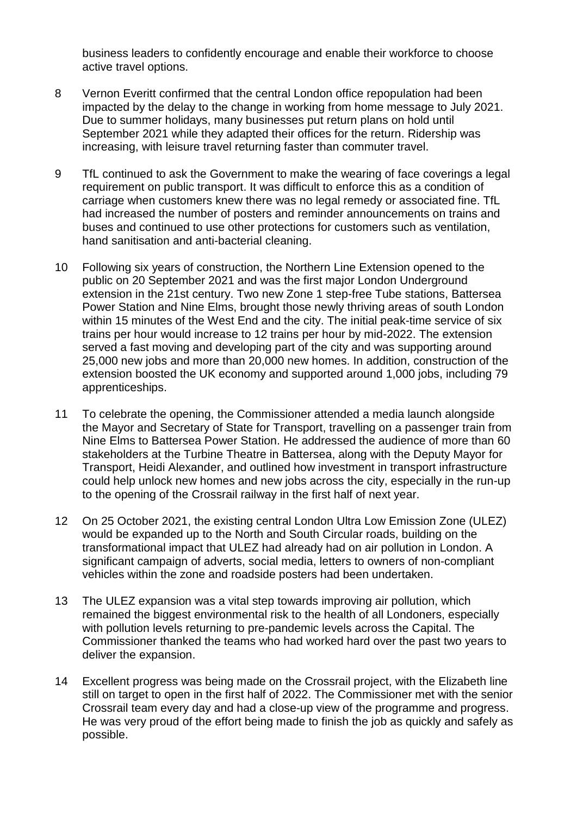business leaders to confidently encourage and enable their workforce to choose active travel options.

- 8 Vernon Everitt confirmed that the central London office repopulation had been impacted by the delay to the change in working from home message to July 2021. Due to summer holidays, many businesses put return plans on hold until September 2021 while they adapted their offices for the return. Ridership was increasing, with leisure travel returning faster than commuter travel.
- 9 TfL continued to ask the Government to make the wearing of face coverings a legal requirement on public transport. It was difficult to enforce this as a condition of carriage when customers knew there was no legal remedy or associated fine. TfL had increased the number of posters and reminder announcements on trains and buses and continued to use other protections for customers such as ventilation, hand sanitisation and anti-bacterial cleaning.
- 10 Following six years of construction, the Northern Line Extension opened to the public on 20 September 2021 and was the first major London Underground extension in the 21st century. Two new Zone 1 step-free Tube stations, Battersea Power Station and Nine Elms, brought those newly thriving areas of south London within 15 minutes of the West End and the city. The initial peak-time service of six trains per hour would increase to 12 trains per hour by mid-2022. The extension served a fast moving and developing part of the city and was supporting around 25,000 new jobs and more than 20,000 new homes. In addition, construction of the extension boosted the UK economy and supported around 1,000 jobs, including 79 apprenticeships.
- 11 To celebrate the opening, the Commissioner attended a media launch alongside the Mayor and Secretary of State for Transport, travelling on a passenger train from Nine Elms to Battersea Power Station. He addressed the audience of more than 60 stakeholders at the Turbine Theatre in Battersea, along with the Deputy Mayor for Transport, Heidi Alexander, and outlined how investment in transport infrastructure could help unlock new homes and new jobs across the city, especially in the run-up to the opening of the Crossrail railway in the first half of next year.
- 12 On 25 October 2021, the existing central London Ultra Low Emission Zone (ULEZ) would be expanded up to the North and South Circular roads, building on the transformational impact that ULEZ had already had on air pollution in London. A significant campaign of adverts, social media, letters to owners of non-compliant vehicles within the zone and roadside posters had been undertaken.
- 13 The ULEZ expansion was a vital step towards improving air pollution, which remained the biggest environmental risk to the health of all Londoners, especially with pollution levels returning to pre-pandemic levels across the Capital. The Commissioner thanked the teams who had worked hard over the past two years to deliver the expansion.
- 14 Excellent progress was being made on the Crossrail project, with the Elizabeth line still on target to open in the first half of 2022. The Commissioner met with the senior Crossrail team every day and had a close-up view of the programme and progress. He was very proud of the effort being made to finish the job as quickly and safely as possible.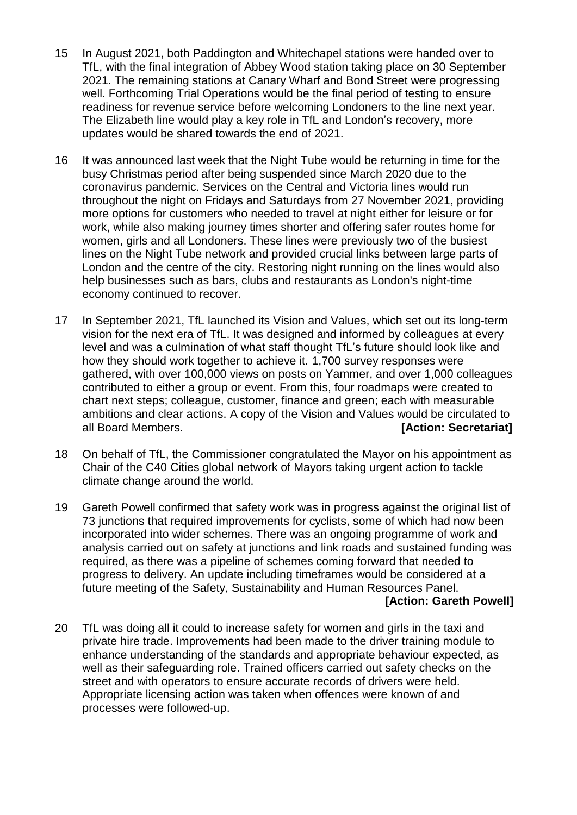- 15 In August 2021, both Paddington and Whitechapel stations were handed over to TfL, with the final integration of Abbey Wood station taking place on 30 September 2021. The remaining stations at Canary Wharf and Bond Street were progressing well. Forthcoming Trial Operations would be the final period of testing to ensure readiness for revenue service before welcoming Londoners to the line next year. The Elizabeth line would play a key role in TfL and London's recovery, more updates would be shared towards the end of 2021.
- 16 It was announced last week that the Night Tube would be returning in time for the busy Christmas period after being suspended since March 2020 due to the coronavirus pandemic. Services on the Central and Victoria lines would run throughout the night on Fridays and Saturdays from 27 November 2021, providing more options for customers who needed to travel at night either for leisure or for work, while also making journey times shorter and offering safer routes home for women, girls and all Londoners. These lines were previously two of the busiest lines on the Night Tube network and provided crucial links between large parts of London and the centre of the city. Restoring night running on the lines would also help businesses such as bars, clubs and restaurants as London's night-time economy continued to recover.
- 17 In September 2021, TfL launched its Vision and Values, which set out its long-term vision for the next era of TfL. It was designed and informed by colleagues at every level and was a culmination of what staff thought TfL's future should look like and how they should work together to achieve it. 1,700 survey responses were gathered, with over 100,000 views on posts on Yammer, and over 1,000 colleagues contributed to either a group or event. From this, four roadmaps were created to chart next steps; colleague, customer, finance and green; each with measurable ambitions and clear actions. A copy of the Vision and Values would be circulated to all Board Members. **[Action: Secretariat]**
- 18 On behalf of TfL, the Commissioner congratulated the Mayor on his appointment as Chair of the C40 Cities global network of Mayors taking urgent action to tackle climate change around the world.
- 19 Gareth Powell confirmed that safety work was in progress against the original list of 73 junctions that required improvements for cyclists, some of which had now been incorporated into wider schemes. There was an ongoing programme of work and analysis carried out on safety at junctions and link roads and sustained funding was required, as there was a pipeline of schemes coming forward that needed to progress to delivery. An update including timeframes would be considered at a future meeting of the Safety, Sustainability and Human Resources Panel.

#### **[Action: Gareth Powell]**

20 TfL was doing all it could to increase safety for women and girls in the taxi and private hire trade. Improvements had been made to the driver training module to enhance understanding of the standards and appropriate behaviour expected, as well as their safeguarding role. Trained officers carried out safety checks on the street and with operators to ensure accurate records of drivers were held. Appropriate licensing action was taken when offences were known of and processes were followed-up.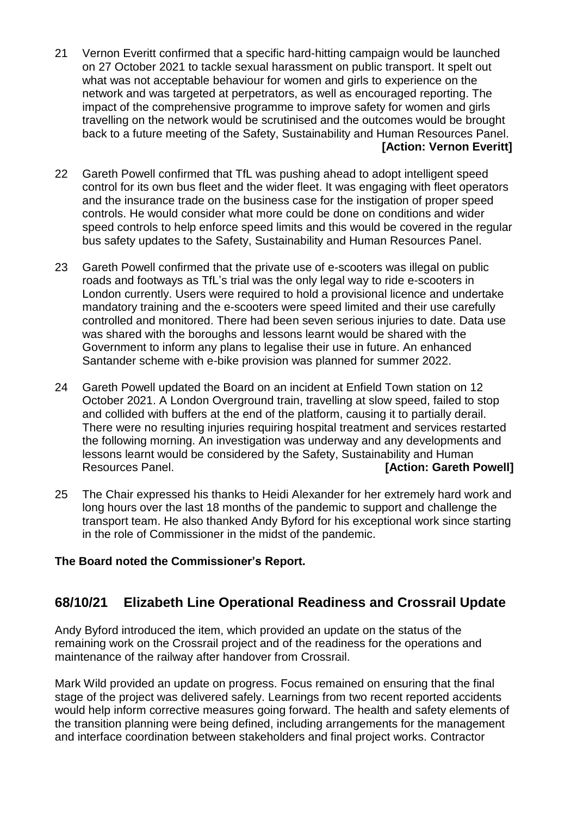- 21 Vernon Everitt confirmed that a specific hard-hitting campaign would be launched on 27 October 2021 to tackle sexual harassment on public transport. It spelt out what was not acceptable behaviour for women and girls to experience on the network and was targeted at perpetrators, as well as encouraged reporting. The impact of the comprehensive programme to improve safety for women and girls travelling on the network would be scrutinised and the outcomes would be brought back to a future meeting of the Safety, Sustainability and Human Resources Panel. **[Action: Vernon Everitt]**
- 22 Gareth Powell confirmed that TfL was pushing ahead to adopt intelligent speed control for its own bus fleet and the wider fleet. It was engaging with fleet operators and the insurance trade on the business case for the instigation of proper speed controls. He would consider what more could be done on conditions and wider speed controls to help enforce speed limits and this would be covered in the regular bus safety updates to the Safety, Sustainability and Human Resources Panel.
- 23 Gareth Powell confirmed that the private use of e-scooters was illegal on public roads and footways as TfL's trial was the only legal way to ride e-scooters in London currently. Users were required to hold a provisional licence and undertake mandatory training and the e-scooters were speed limited and their use carefully controlled and monitored. There had been seven serious injuries to date. Data use was shared with the boroughs and lessons learnt would be shared with the Government to inform any plans to legalise their use in future. An enhanced Santander scheme with e-bike provision was planned for summer 2022.
- 24 Gareth Powell updated the Board on an incident at Enfield Town station on 12 October 2021. A London Overground train, travelling at slow speed, failed to stop and collided with buffers at the end of the platform, causing it to partially derail. There were no resulting injuries requiring hospital treatment and services restarted the following morning. An investigation was underway and any developments and lessons learnt would be considered by the Safety, Sustainability and Human Resources Panel. *CON* **EXECUTE:** *CON* **EXECUTE: CON EXECUTE: CON EXECUTE: CON EXECUTE: CON EXECUTE: CON EXECUTE: CON EXECUTE: CON EXECUTE: CON EXECUTE: CON EXECUTE: CON EXECUTE**
- 25 The Chair expressed his thanks to Heidi Alexander for her extremely hard work and long hours over the last 18 months of the pandemic to support and challenge the transport team. He also thanked Andy Byford for his exceptional work since starting in the role of Commissioner in the midst of the pandemic.

#### **The Board noted the Commissioner's Report.**

### **68/10/21 Elizabeth Line Operational Readiness and Crossrail Update**

Andy Byford introduced the item, which provided an update on the status of the remaining work on the Crossrail project and of the readiness for the operations and maintenance of the railway after handover from Crossrail.

Mark Wild provided an update on progress. Focus remained on ensuring that the final stage of the project was delivered safely. Learnings from two recent reported accidents would help inform corrective measures going forward. The health and safety elements of the transition planning were being defined, including arrangements for the management and interface coordination between stakeholders and final project works. Contractor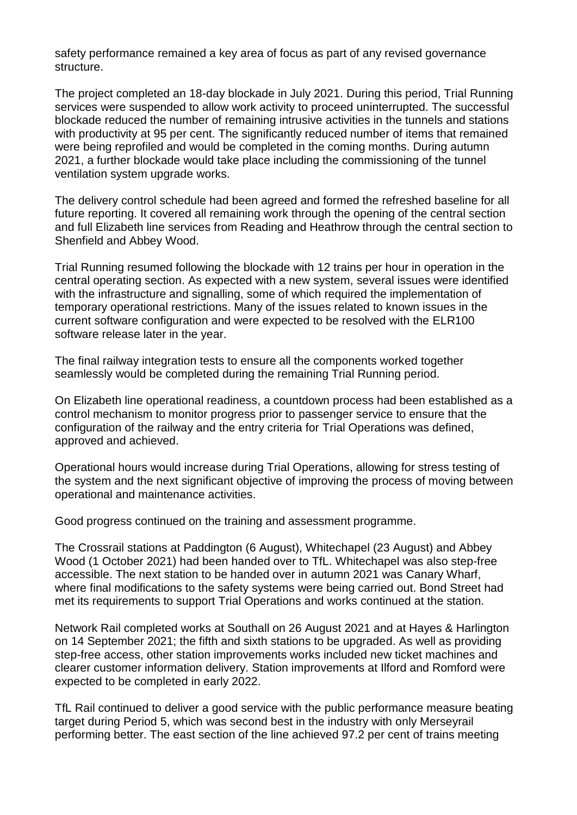safety performance remained a key area of focus as part of any revised governance structure.

The project completed an 18-day blockade in July 2021. During this period, Trial Running services were suspended to allow work activity to proceed uninterrupted. The successful blockade reduced the number of remaining intrusive activities in the tunnels and stations with productivity at 95 per cent. The significantly reduced number of items that remained were being reprofiled and would be completed in the coming months. During autumn 2021, a further blockade would take place including the commissioning of the tunnel ventilation system upgrade works.

The delivery control schedule had been agreed and formed the refreshed baseline for all future reporting. It covered all remaining work through the opening of the central section and full Elizabeth line services from Reading and Heathrow through the central section to Shenfield and Abbey Wood.

Trial Running resumed following the blockade with 12 trains per hour in operation in the central operating section. As expected with a new system, several issues were identified with the infrastructure and signalling, some of which required the implementation of temporary operational restrictions. Many of the issues related to known issues in the current software configuration and were expected to be resolved with the ELR100 software release later in the year.

The final railway integration tests to ensure all the components worked together seamlessly would be completed during the remaining Trial Running period.

On Elizabeth line operational readiness, a countdown process had been established as a control mechanism to monitor progress prior to passenger service to ensure that the configuration of the railway and the entry criteria for Trial Operations was defined, approved and achieved.

Operational hours would increase during Trial Operations, allowing for stress testing of the system and the next significant objective of improving the process of moving between operational and maintenance activities.

Good progress continued on the training and assessment programme.

The Crossrail stations at Paddington (6 August), Whitechapel (23 August) and Abbey Wood (1 October 2021) had been handed over to TfL. Whitechapel was also step-free accessible. The next station to be handed over in autumn 2021 was Canary Wharf, where final modifications to the safety systems were being carried out. Bond Street had met its requirements to support Trial Operations and works continued at the station.

Network Rail completed works at Southall on 26 August 2021 and at Hayes & Harlington on 14 September 2021; the fifth and sixth stations to be upgraded. As well as providing step-free access, other station improvements works included new ticket machines and clearer customer information delivery. Station improvements at Ilford and Romford were expected to be completed in early 2022.

TfL Rail continued to deliver a good service with the public performance measure beating target during Period 5, which was second best in the industry with only Merseyrail performing better. The east section of the line achieved 97.2 per cent of trains meeting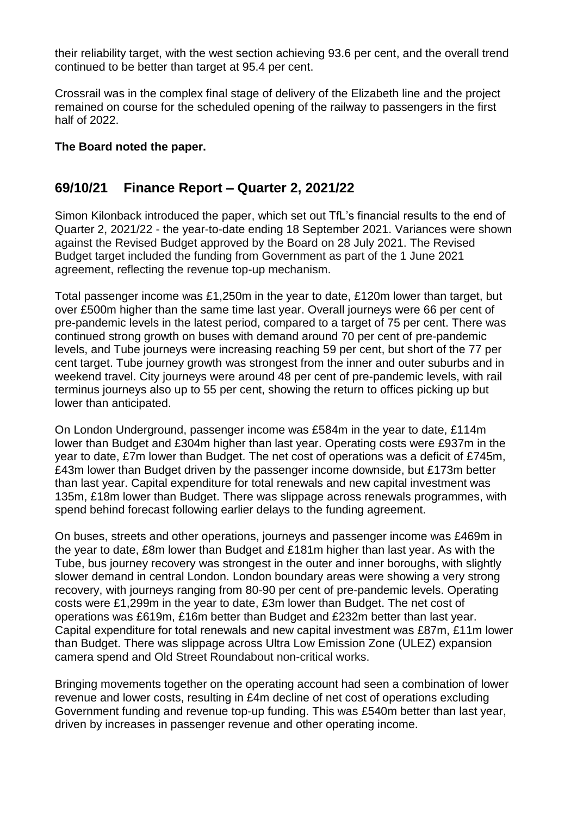their reliability target, with the west section achieving 93.6 per cent, and the overall trend continued to be better than target at 95.4 per cent.

Crossrail was in the complex final stage of delivery of the Elizabeth line and the project remained on course for the scheduled opening of the railway to passengers in the first half of 2022.

#### **The Board noted the paper.**

### **69/10/21 Finance Report – Quarter 2, 2021/22**

Simon Kilonback introduced the paper, which set out TfL's financial results to the end of Quarter 2, 2021/22 - the year-to-date ending 18 September 2021. Variances were shown against the Revised Budget approved by the Board on 28 July 2021. The Revised Budget target included the funding from Government as part of the 1 June 2021 agreement, reflecting the revenue top-up mechanism.

Total passenger income was £1,250m in the year to date, £120m lower than target, but over £500m higher than the same time last year. Overall journeys were 66 per cent of pre-pandemic levels in the latest period, compared to a target of 75 per cent. There was continued strong growth on buses with demand around 70 per cent of pre-pandemic levels, and Tube journeys were increasing reaching 59 per cent, but short of the 77 per cent target. Tube journey growth was strongest from the inner and outer suburbs and in weekend travel. City journeys were around 48 per cent of pre-pandemic levels, with rail terminus journeys also up to 55 per cent, showing the return to offices picking up but lower than anticipated.

On London Underground, passenger income was £584m in the year to date, £114m lower than Budget and £304m higher than last year. Operating costs were £937m in the year to date, £7m lower than Budget. The net cost of operations was a deficit of £745m, £43m lower than Budget driven by the passenger income downside, but £173m better than last year. Capital expenditure for total renewals and new capital investment was 135m, £18m lower than Budget. There was slippage across renewals programmes, with spend behind forecast following earlier delays to the funding agreement.

On buses, streets and other operations, journeys and passenger income was £469m in the year to date, £8m lower than Budget and £181m higher than last year. As with the Tube, bus journey recovery was strongest in the outer and inner boroughs, with slightly slower demand in central London. London boundary areas were showing a very strong recovery, with journeys ranging from 80-90 per cent of pre-pandemic levels. Operating costs were £1,299m in the year to date, £3m lower than Budget. The net cost of operations was £619m, £16m better than Budget and £232m better than last year. Capital expenditure for total renewals and new capital investment was £87m, £11m lower than Budget. There was slippage across Ultra Low Emission Zone (ULEZ) expansion camera spend and Old Street Roundabout non-critical works.

Bringing movements together on the operating account had seen a combination of lower revenue and lower costs, resulting in £4m decline of net cost of operations excluding Government funding and revenue top-up funding. This was £540m better than last year, driven by increases in passenger revenue and other operating income.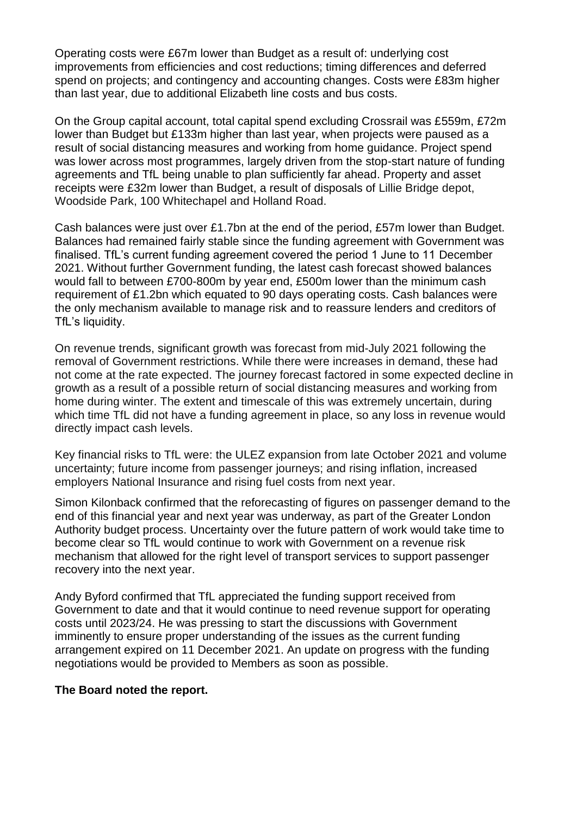Operating costs were £67m lower than Budget as a result of: underlying cost improvements from efficiencies and cost reductions; timing differences and deferred spend on projects; and contingency and accounting changes. Costs were £83m higher than last year, due to additional Elizabeth line costs and bus costs.

On the Group capital account, total capital spend excluding Crossrail was £559m, £72m lower than Budget but £133m higher than last year, when projects were paused as a result of social distancing measures and working from home guidance. Project spend was lower across most programmes, largely driven from the stop-start nature of funding agreements and TfL being unable to plan sufficiently far ahead. Property and asset receipts were £32m lower than Budget, a result of disposals of Lillie Bridge depot, Woodside Park, 100 Whitechapel and Holland Road.

Cash balances were just over £1.7bn at the end of the period, £57m lower than Budget. Balances had remained fairly stable since the funding agreement with Government was finalised. TfL's current funding agreement covered the period 1 June to 11 December 2021. Without further Government funding, the latest cash forecast showed balances would fall to between £700-800m by year end, £500m lower than the minimum cash requirement of £1.2bn which equated to 90 days operating costs. Cash balances were the only mechanism available to manage risk and to reassure lenders and creditors of TfL's liquidity.

On revenue trends, significant growth was forecast from mid-July 2021 following the removal of Government restrictions. While there were increases in demand, these had not come at the rate expected. The journey forecast factored in some expected decline in growth as a result of a possible return of social distancing measures and working from home during winter. The extent and timescale of this was extremely uncertain, during which time TfL did not have a funding agreement in place, so any loss in revenue would directly impact cash levels.

Key financial risks to TfL were: the ULEZ expansion from late October 2021 and volume uncertainty; future income from passenger journeys; and rising inflation, increased employers National Insurance and rising fuel costs from next year.

Simon Kilonback confirmed that the reforecasting of figures on passenger demand to the end of this financial year and next year was underway, as part of the Greater London Authority budget process. Uncertainty over the future pattern of work would take time to become clear so TfL would continue to work with Government on a revenue risk mechanism that allowed for the right level of transport services to support passenger recovery into the next year.

Andy Byford confirmed that TfL appreciated the funding support received from Government to date and that it would continue to need revenue support for operating costs until 2023/24. He was pressing to start the discussions with Government imminently to ensure proper understanding of the issues as the current funding arrangement expired on 11 December 2021. An update on progress with the funding negotiations would be provided to Members as soon as possible.

#### **The Board noted the report.**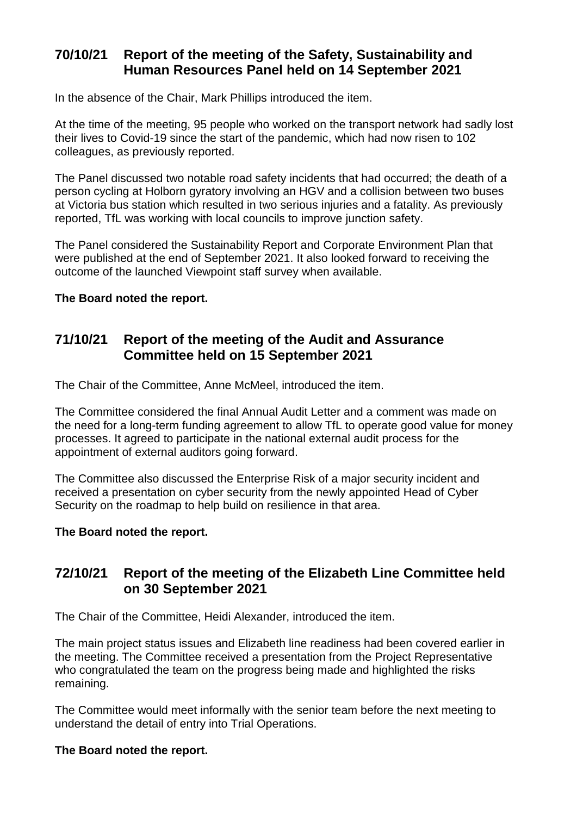### **70/10/21 Report of the meeting of the Safety, Sustainability and Human Resources Panel held on 14 September 2021**

In the absence of the Chair, Mark Phillips introduced the item.

At the time of the meeting, 95 people who worked on the transport network had sadly lost their lives to Covid-19 since the start of the pandemic, which had now risen to 102 colleagues, as previously reported.

The Panel discussed two notable road safety incidents that had occurred; the death of a person cycling at Holborn gyratory involving an HGV and a collision between two buses at Victoria bus station which resulted in two serious injuries and a fatality. As previously reported, TfL was working with local councils to improve junction safety.

The Panel considered the Sustainability Report and Corporate Environment Plan that were published at the end of September 2021. It also looked forward to receiving the outcome of the launched Viewpoint staff survey when available.

#### **The Board noted the report.**

## **71/10/21 Report of the meeting of the Audit and Assurance Committee held on 15 September 2021**

The Chair of the Committee, Anne McMeel, introduced the item.

The Committee considered the final Annual Audit Letter and a comment was made on the need for a long-term funding agreement to allow TfL to operate good value for money processes. It agreed to participate in the national external audit process for the appointment of external auditors going forward.

The Committee also discussed the Enterprise Risk of a major security incident and received a presentation on cyber security from the newly appointed Head of Cyber Security on the roadmap to help build on resilience in that area.

#### **The Board noted the report.**

### **72/10/21 Report of the meeting of the Elizabeth Line Committee held on 30 September 2021**

The Chair of the Committee, Heidi Alexander, introduced the item.

The main project status issues and Elizabeth line readiness had been covered earlier in the meeting. The Committee received a presentation from the Project Representative who congratulated the team on the progress being made and highlighted the risks remaining.

The Committee would meet informally with the senior team before the next meeting to understand the detail of entry into Trial Operations.

#### **The Board noted the report.**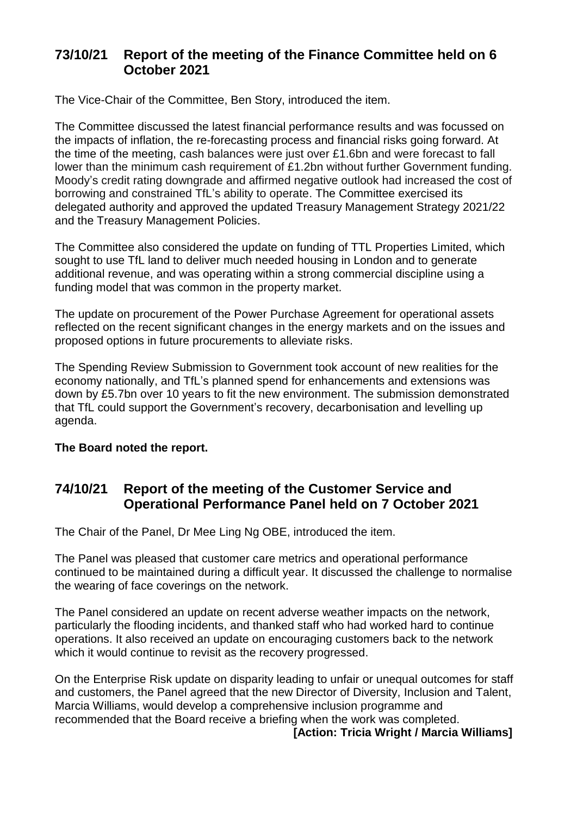# **73/10/21 Report of the meeting of the Finance Committee held on 6 October 2021**

The Vice-Chair of the Committee, Ben Story, introduced the item.

The Committee discussed the latest financial performance results and was focussed on the impacts of inflation, the re-forecasting process and financial risks going forward. At the time of the meeting, cash balances were just over £1.6bn and were forecast to fall lower than the minimum cash requirement of £1.2bn without further Government funding. Moody's credit rating downgrade and affirmed negative outlook had increased the cost of borrowing and constrained TfL's ability to operate. The Committee exercised its delegated authority and approved the updated Treasury Management Strategy 2021/22 and the Treasury Management Policies.

The Committee also considered the update on funding of TTL Properties Limited, which sought to use TfL land to deliver much needed housing in London and to generate additional revenue, and was operating within a strong commercial discipline using a funding model that was common in the property market.

The update on procurement of the Power Purchase Agreement for operational assets reflected on the recent significant changes in the energy markets and on the issues and proposed options in future procurements to alleviate risks.

The Spending Review Submission to Government took account of new realities for the economy nationally, and TfL's planned spend for enhancements and extensions was down by £5.7bn over 10 years to fit the new environment. The submission demonstrated that TfL could support the Government's recovery, decarbonisation and levelling up agenda.

#### **The Board noted the report.**

### **74/10/21 Report of the meeting of the Customer Service and Operational Performance Panel held on 7 October 2021**

The Chair of the Panel, Dr Mee Ling Ng OBE, introduced the item.

The Panel was pleased that customer care metrics and operational performance continued to be maintained during a difficult year. It discussed the challenge to normalise the wearing of face coverings on the network.

The Panel considered an update on recent adverse weather impacts on the network, particularly the flooding incidents, and thanked staff who had worked hard to continue operations. It also received an update on encouraging customers back to the network which it would continue to revisit as the recovery progressed.

On the Enterprise Risk update on disparity leading to unfair or unequal outcomes for staff and customers, the Panel agreed that the new Director of Diversity, Inclusion and Talent, Marcia Williams, would develop a comprehensive inclusion programme and recommended that the Board receive a briefing when the work was completed.

**[Action: Tricia Wright / Marcia Williams]**